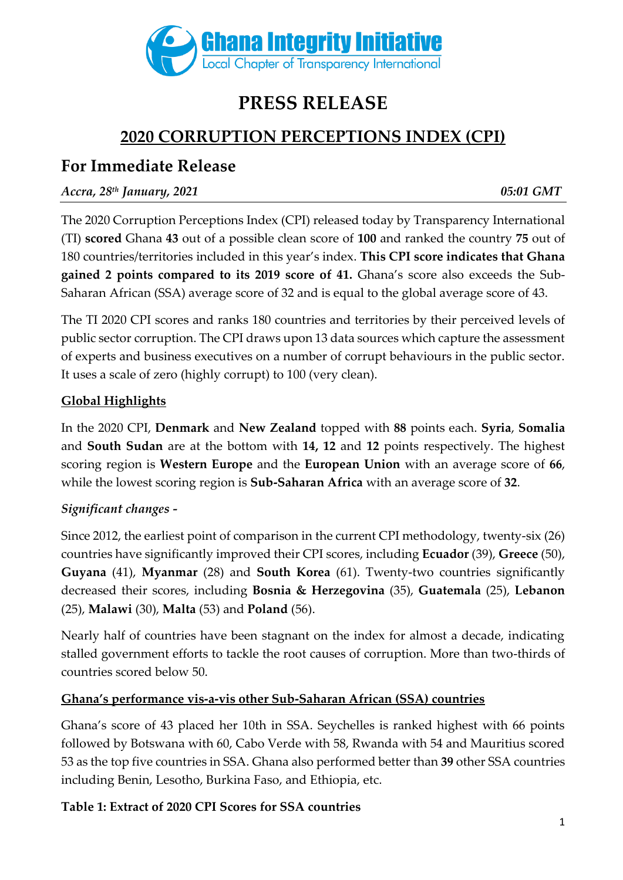

# **PRESS RELEASE**

# **2020 CORRUPTION PERCEPTIONS INDEX (CPI)**

## **For Immediate Release**

## *Accra, 28th January, 2021 05:01 GMT*

The 2020 Corruption Perceptions Index (CPI) released today by Transparency International (TI) **scored** Ghana **43** out of a possible clean score of **100** and ranked the country **75** out of 180 countries/territories included in this year's index. **This CPI score indicates that Ghana gained 2 points compared to its 2019 score of 41.** Ghana's score also exceeds the Sub-Saharan African (SSA) average score of 32 and is equal to the global average score of 43.

The TI 2020 CPI scores and ranks 180 countries and territories by their perceived levels of public sector corruption. The CPI draws upon 13 data sources which capture the assessment of experts and business executives on a number of corrupt behaviours in the public sector. It uses a scale of zero (highly corrupt) to 100 (very clean).

## **Global Highlights**

In the 2020 CPI, **Denmark** and **New Zealand** topped with **88** points each. **Syria**, **Somalia**  and **South Sudan** are at the bottom with **14, 12** and **12** points respectively. The highest scoring region is **Western Europe** and the **European Union** with an average score of **66**, while the lowest scoring region is **Sub-Saharan Africa** with an average score of **32**.

## *Significant changes -*

Since 2012, the earliest point of comparison in the current CPI methodology, twenty-six (26) countries have significantly improved their CPI scores, including **Ecuador** (39), **Greece** (50), **Guyana** (41), **Myanmar** (28) and **South Korea** (61). Twenty-two countries significantly decreased their scores, including **Bosnia & Herzegovina** (35), **Guatemala** (25), **Lebanon**  (25), **Malawi** (30), **Malta** (53) and **Poland** (56).

Nearly half of countries have been stagnant on the index for almost a decade, indicating stalled government efforts to tackle the root causes of corruption. More than two-thirds of countries scored below 50.

### **Ghana's performance vis-a-vis other Sub-Saharan African (SSA) countries**

Ghana's score of 43 placed her 10th in SSA. Seychelles is ranked highest with 66 points followed by Botswana with 60, Cabo Verde with 58, Rwanda with 54 and Mauritius scored 53 as the top five countries in SSA. Ghana also performed better than **39** other SSA countries including Benin, Lesotho, Burkina Faso, and Ethiopia, etc.

### **Table 1: Extract of 2020 CPI Scores for SSA countries**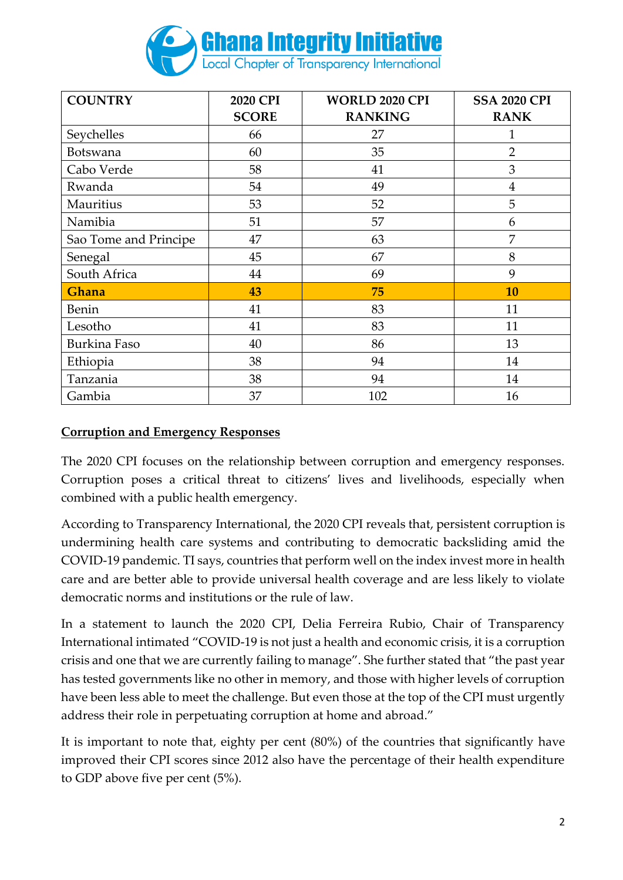

| <b>COUNTRY</b>        | 2020 CPI     | <b>WORLD 2020 CPI</b> | <b>SSA 2020 CPI</b> |
|-----------------------|--------------|-----------------------|---------------------|
|                       | <b>SCORE</b> | <b>RANKING</b>        | <b>RANK</b>         |
| Seychelles            | 66           | 27                    | $\mathbf{1}$        |
| Botswana              | 60           | 35                    | $\overline{2}$      |
| Cabo Verde            | 58           | 41                    | 3                   |
| Rwanda                | 54           | 49                    | $\overline{4}$      |
| Mauritius             | 53           | 52                    | 5                   |
| Namibia               | 51           | 57                    | 6                   |
| Sao Tome and Principe | 47           | 63                    | 7                   |
| Senegal               | 45           | 67                    | 8                   |
| South Africa          | 44           | 69                    | 9                   |
| Ghana                 | 43           | 75                    | 10                  |
| <b>Benin</b>          | 41           | 83                    | 11                  |
| Lesotho               | 41           | 83                    | 11                  |
| Burkina Faso          | 40           | 86                    | 13                  |
| Ethiopia              | 38           | 94                    | 14                  |
| Tanzania              | 38           | 94                    | 14                  |
| Gambia                | 37           | 102                   | 16                  |

### **Corruption and Emergency Responses**

The 2020 CPI focuses on the relationship between corruption and emergency responses. Corruption poses a critical threat to citizens' lives and livelihoods, especially when combined with a public health emergency.

According to Transparency International, the 2020 CPI reveals that, persistent corruption is undermining health care systems and contributing to democratic backsliding amid the COVID-19 pandemic. TI says, countries that perform well on the index invest more in health care and are better able to provide universal health coverage and are less likely to violate democratic norms and institutions or the rule of law.

In a statement to launch the 2020 CPI, Delia Ferreira Rubio, Chair of Transparency International intimated "COVID-19 is not just a health and economic crisis, it is a corruption crisis and one that we are currently failing to manage". She further stated that "the past year has tested governments like no other in memory, and those with higher levels of corruption have been less able to meet the challenge. But even those at the top of the CPI must urgently address their role in perpetuating corruption at home and abroad."

It is important to note that, eighty per cent (80%) of the countries that significantly have improved their CPI scores since 2012 also have the percentage of their health expenditure to GDP above five per cent (5%).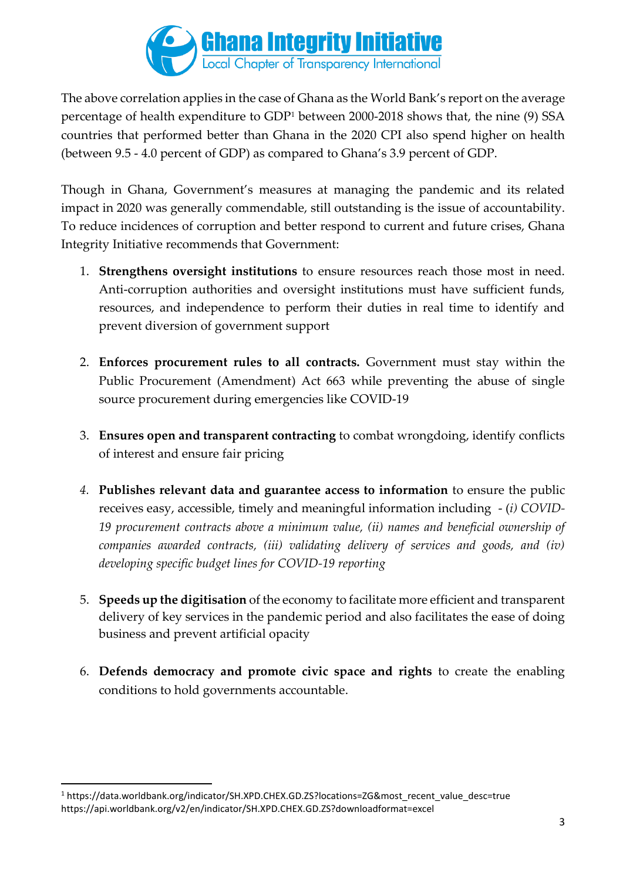

The above correlation applies in the case of Ghana as the World Bank's report on the average percentage of health expenditure to GDP<sup>1</sup> between 2000-2018 shows that, the nine (9) SSA countries that performed better than Ghana in the 2020 CPI also spend higher on health (between 9.5 - 4.0 percent of GDP) as compared to Ghana's 3.9 percent of GDP.

Though in Ghana, Government's measures at managing the pandemic and its related impact in 2020 was generally commendable, still outstanding is the issue of accountability. To reduce incidences of corruption and better respond to current and future crises, Ghana Integrity Initiative recommends that Government:

- 1. **Strengthens oversight institutions** to ensure resources reach those most in need. Anti-corruption authorities and oversight institutions must have sufficient funds, resources, and independence to perform their duties in real time to identify and prevent diversion of government support
- 2. **Enforces procurement rules to all contracts.** Government must stay within the Public Procurement (Amendment) Act 663 while preventing the abuse of single source procurement during emergencies like COVID-19
- 3. **Ensures open and transparent contracting** to combat wrongdoing, identify conflicts of interest and ensure fair pricing
- *4.* **Publishes relevant data and guarantee access to information** to ensure the public receives easy, accessible, timely and meaningful information including - (*i) COVID-19 procurement contracts above a minimum value, (ii) names and beneficial ownership of companies awarded contracts, (iii) validating delivery of services and goods, and (iv) developing specific budget lines for COVID-19 reporting*
- 5. **Speeds up the digitisation** of the economy to facilitate more efficient and transparent delivery of key services in the pandemic period and also facilitates the ease of doing business and prevent artificial opacity
- 6. **Defends democracy and promote civic space and rights** to create the enabling conditions to hold governments accountable.

<sup>1</sup> https://data.worldbank.org/indicator/SH.XPD.CHEX.GD.ZS?locations=ZG&most\_recent\_value\_desc=true https://api.worldbank.org/v2/en/indicator/SH.XPD.CHEX.GD.ZS?downloadformat=excel